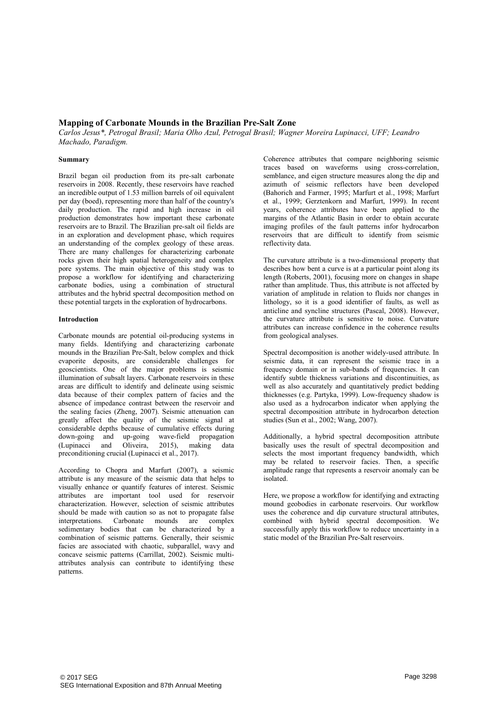## Mapping of Carbonate Mounds in the Brazilian Pre-Salt Zone

Carlos Jesus\*, Petrogal Brasil; Maria Olho Azul, Petrogal Brasil; Wagner Moreira Lupinacci, UFF; Leandro Machado, Paradigm.

### Summary

Brazil began oil production from its pre-salt carbonate reservoirs in 2008. Recently, these reservoirs have reached an incredible output of 1.53 million barrels of oil equivalent per day (boed), representing more than half of the country's daily production. The rapid and high increase in oil production demonstrates how important these carbonate reservoirs are to Brazil. The Brazilian pre-salt oil fields are in an exploration and development phase, which requires an understanding of the complex geology of these areas. There are many challenges for characterizing carbonate rocks given their high spatial heterogeneity and complex pore systems. The main objective of this study was to propose a workflow for identifying and characterizing carbonate bodies, using a combination of structural attributes and the hybrid spectral decomposition method on these potential targets in the exploration of hydrocarbons.

### Introduction

Carbonate mounds are potential oil-producing systems in many fields. Identifying and characterizing carbonate mounds in the Brazilian Pre-Salt, below complex and thick evaporite deposits, are considerable challenges for geoscientists. One of the major problems is seismic illumination of subsalt layers. Carbonate reservoirs in these areas are difficult to identify and delineate using seismic data because of their complex pattern of facies and the absence of impedance contrast between the reservoir and the sealing facies (Zheng, 2007). Seismic attenuation can greatly affect the quality of the seismic signal at considerable depths because of cumulative effects during down-going and up-going wave-field propagation<br>(Lupinacci and Oliveira, 2015), making data  $(2015)$ , making data preconditioning crucial (Lupinacci et al., 2017).

According to Chopra and Marfurt (2007), a seismic attribute is any measure of the seismic data that helps to visually enhance or quantify features of interest. Seismic attributes are important tool used for reservoir characterization. However, selection of seismic attributes should be made with caution so as not to propagate false interpretations. Carbonate mounds are complex sedimentary bodies that can be characterized by a combination of seismic patterns. Generally, their seismic facies are associated with chaotic, subparallel, wavy and concave seismic patterns (Carrillat, 2002). Seismic multiattributes analysis can contribute to identifying these patterns.

Coherence attributes that compare neighboring seismic traces based on waveforms using cross-correlation, semblance, and eigen structure measures along the dip and azimuth of seismic reflectors have been developed (Bahorich and Farmer, 1995; Marfurt et al., 1998; Marfurt et al., 1999; Gerztenkorn and Marfurt, 1999). In recent years, coherence attributes have been applied to the margins of the Atlantic Basin in order to obtain accurate imaging profiles of the fault patterns infor hydrocarbon reservoirs that are difficult to identify from seismic reflectivity data.

The curvature attribute is a two-dimensional property that describes how bent a curve is at a particular point along its length (Roberts, 2001), focusing more on changes in shape rather than amplitude. Thus, this attribute is not affected by variation of amplitude in relation to fluids nor changes in lithology, so it is a good identifier of faults, as well as anticline and syncline structures (Pascal, 2008). However, the curvature attribute is sensitive to noise. Curvature attributes can increase confidence in the coherence results from geological analyses.

Spectral decomposition is another widely-used attribute. In seismic data, it can represent the seismic trace in a frequency domain or in sub-bands of frequencies. It can identify subtle thickness variations and discontinuities, as well as also accurately and quantitatively predict bedding thicknesses (e.g. Partyka, 1999). Low-frequency shadow is also used as a hydrocarbon indicator when applying the spectral decomposition attribute in hydrocarbon detection studies (Sun et al., 2002; Wang, 2007).

Additionally, a hybrid spectral decomposition attribute basically uses the result of spectral decomposition and selects the most important frequency bandwidth, which may be related to reservoir facies. Then, a specific amplitude range that represents a reservoir anomaly can be isolated.

Here, we propose a workflow for identifying and extracting mound geobodies in carbonate reservoirs. Our workflow uses the coherence and dip curvature structural attributes, combined with hybrid spectral decomposition. We successfully apply this workflow to reduce uncertainty in a static model of the Brazilian Pre-Salt reservoirs.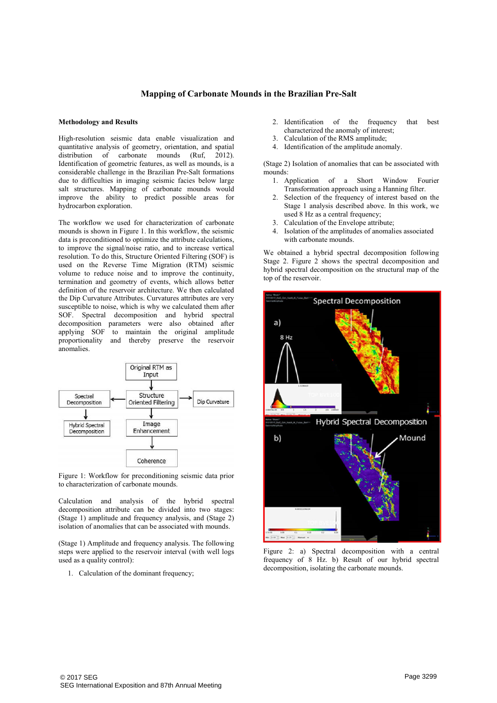## Mapping of Carbonate Mounds in the Brazilian Pre-Salt

## Methodology and Results

High-resolution seismic data enable visualization and quantitative analysis of geometry, orientation, and spatial distribution of carbonate mounds (Ruf, 2012). distribution of carbonate mounds Identification of geometric features, as well as mounds, is a considerable challenge in the Brazilian Pre-Salt formations due to difficulties in imaging seismic facies below large salt structures. Mapping of carbonate mounds would improve the ability to predict possible areas for hydrocarbon exploration.

The workflow we used for characterization of carbonate mounds is shown in Figure 1. In this workflow, the seismic data is preconditioned to optimize the attribute calculations, to improve the signal/noise ratio, and to increase vertical resolution. To do this, Structure Oriented Filtering (SOF) is used on the Reverse Time Migration (RTM) seismic volume to reduce noise and to improve the continuity, termination and geometry of events, which allows better definition of the reservoir architecture. We then calculated the Dip Curvature Attributes. Curvatures attributes are very susceptible to noise, which is why we calculated them after SOF. Spectral decomposition and hybrid spectral decomposition parameters were also obtained after applying SOF to maintain the original amplitude proportionality and thereby preserve the reservoir anomalies.



Figure 1: Workflow for preconditioning seismic data prior to characterization of carbonate mounds.

Calculation and analysis of the hybrid spectral decomposition attribute can be divided into two stages: (Stage 1) amplitude and frequency analysis, and (Stage 2) isolation of anomalies that can be associated with mounds.

(Stage 1) Amplitude and frequency analysis. The following steps were applied to the reservoir interval (with well logs used as a quality control):

1. Calculation of the dominant frequency;

- 2. Identification of the frequency that best characterized the anomaly of interest;
- 3. Calculation of the RMS amplitude;
- 4. Identification of the amplitude anomaly.

(Stage 2) Isolation of anomalies that can be associated with mounds:

- 1. Application of a Short Window Fourier Transformation approach using a Hanning filter.
- 2. Selection of the frequency of interest based on the Stage 1 analysis described above. In this work, we used 8 Hz as a central frequency:
- 3. Calculation of the Envelope attribute;
- 4. Isolation of the amplitudes of anomalies associated with carbonate mounds.

We obtained a hybrid spectral decomposition following Stage 2. Figure 2 shows the spectral decomposition and hybrid spectral decomposition on the structural map of the top of the reservoir.



Figure 2: a) Spectral decomposition with a central frequency of 8 Hz. b) Result of our hybrid spectral decomposition, isolating the carbonate mounds.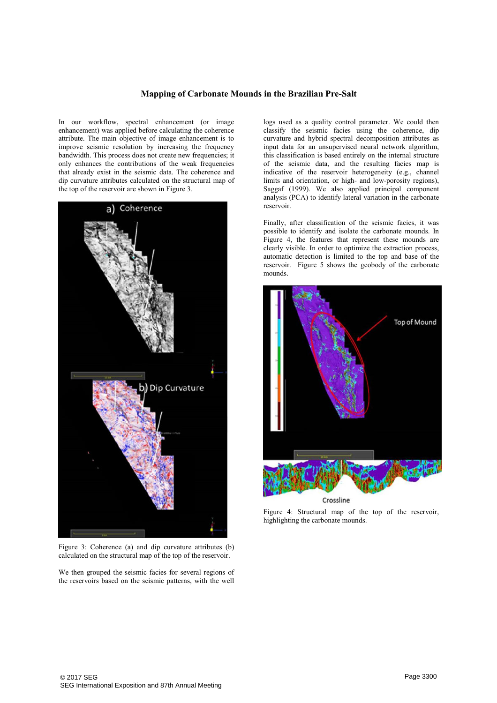## Mapping of Carbonate Mounds in the Brazilian Pre-Salt

In our workflow, spectral enhancement (or image enhancement) was applied before calculating the coherence attribute. The main objective of image enhancement is to improve seismic resolution by increasing the frequency bandwidth. This process does not create new frequencies; it only enhances the contributions of the weak frequencies that already exist in the seismic data. The coherence and dip curvature attributes calculated on the structural map of the top of the reservoir are shown in Figure 3.



Figure 3: Coherence (a) and dip curvature attributes (b) calculated on the structural map of the top of the reservoir.

We then grouped the seismic facies for several regions of the reservoirs based on the seismic patterns, with the well

logs used as a quality control parameter. We could then classify the seismic facies using the coherence, dip curvature and hybrid spectral decomposition attributes as input data for an unsupervised neural network algorithm, this classification is based entirely on the internal structure of the seismic data, and the resulting facies map is indicative of the reservoir heterogeneity (e.g., channel limits and orientation, or high- and low-porosity regions), Saggaf (1999). We also applied principal component analysis (PCA) to identify lateral variation in the carbonate reservoir.

Finally, after classification of the seismic facies, it was possible to identify and isolate the carbonate mounds. In Figure 4, the features that represent these mounds are clearly visible. In order to optimize the extraction process, automatic detection is limited to the top and base of the reservoir. Figure 5 shows the geobody of the carbonate mounds.



Figure 4: Structural map of the top of the reservoir, highlighting the carbonate mounds.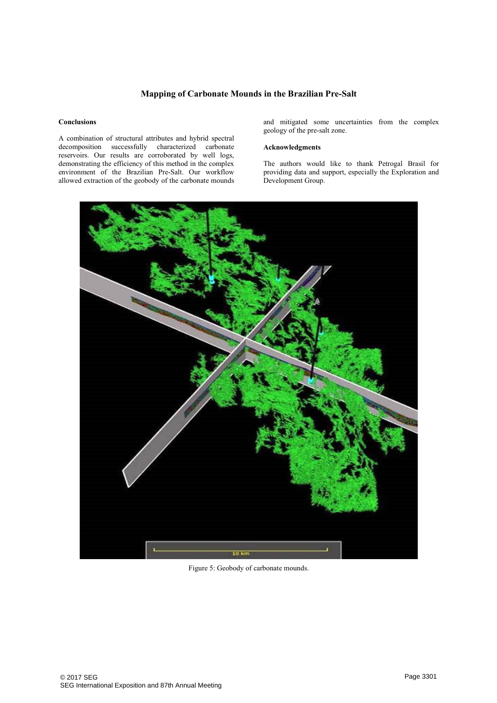# Mapping of Carbonate Mounds in the Brazilian Pre-Salt

#### **Conclusions**

A combination of structural attributes and hybrid spectral decomposition successfully characterized carbonate reservoirs. Our results are corroborated by well logs, demonstrating the efficiency of this method in the complex environment of the Brazilian Pre-Salt. Our workflow allowed extraction of the geobody of the carbonate mounds and mitigated some uncertainties from the complex geology of the pre-salt zone.

### Acknowledgments

The authors would like to thank Petrogal Brasil for providing data and support, especially the Exploration and Development Group.



Figure 5: Geobody of carbonate mounds.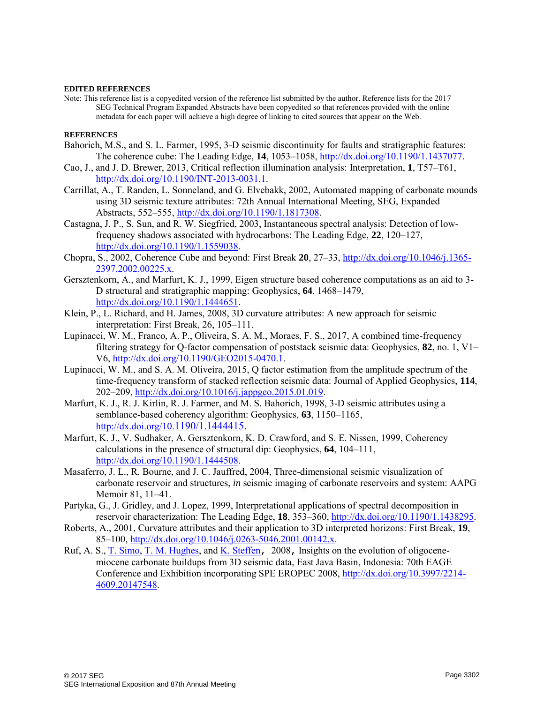### **EDITED REFERENCES**

Note: This reference list is a copyedited version of the reference list submitted by the author. Reference lists for the 2017 SEG Technical Program Expanded Abstracts have been copyedited so that references provided with the online metadata for each paper will achieve a high degree of linking to cited sources that appear on the Web.

## **REFERENCES**

- Bahorich, M.S., and S. L. Farmer, 1995, 3-D seismic discontinuity for faults and stratigraphic features: The coherence cube: The Leading Edge, **14**, 1053–1058, [http://dx.doi.org/10.1190/1.1437077.](http://dx.doi.org/10.1190/1.1437077)
- Cao, J., and J. D. Brewer, 2013, Critical reflection illumination analysis: Interpretation, **1**, T57–T61, [http://dx.doi.org/10.1190/INT-2013-0031.1.](http://dx.doi.org/10.1190/INT-2013-0031.1)
- Carrillat, A., T. Randen, L. Sonneland, and G. Elvebakk, 2002, Automated mapping of carbonate mounds using 3D seismic texture attributes: 72th Annual International Meeting, SEG, Expanded Abstracts, 552–555, [http://dx.doi.org/10.1190/1.1817308.](http://dx.doi.org/10.1190/1.1817308)
- Castagna, J. P., S. Sun, and R. W. Siegfried, 2003, Instantaneous spectral analysis: Detection of lowfrequency shadows associated with hydrocarbons: The Leading Edge, **22**, 120–127, [http://dx.doi.org/10.1190/1.1559038.](http://dx.doi.org/10.1190/1.1559038)
- Chopra, S., 2002, Coherence Cube and beyond: First Break **20**, 27–33, [http://dx.doi.org/10.1046/j.1365-](http://dx.doi.org/10.1046/j.1365-2397.2002.00225.x) [2397.2002.00225.x.](http://dx.doi.org/10.1046/j.1365-2397.2002.00225.x)
- Gersztenkorn, A., and Marfurt, K. J., 1999, Eigen structure based coherence computations as an aid to 3- D structural and stratigraphic mapping: Geophysics, **64**, 1468–1479, [http://dx.doi.org/10.1190/1.1444651.](http://dx.doi.org/10.1190/1.1444651)
- Klein, P., L. Richard, and H. James, 2008, 3D curvature attributes: A new approach for seismic interpretation: First Break, 26, 105–111.
- Lupinacci, W. M., Franco, A. P., Oliveira, S. A. M., Moraes, F. S., 2017, A combined time-frequency filtering strategy for Q-factor compensation of poststack seismic data: Geophysics, **82**, no. 1, V1– V6, [http://dx.doi.org/10.1190/GEO2015-0470.1.](http://dx.doi.org/10.1190/GEO2015-0470.1)
- Lupinacci, W. M., and S. A. M. Oliveira, 2015, Q factor estimation from the amplitude spectrum of the time-frequency transform of stacked reflection seismic data: Journal of Applied Geophysics, **114**, 202–209, [http://dx.doi.org/10.1016/j.jappgeo.2015.01.019.](http://dx.doi.org/10.1016/j.jappgeo.2015.01.019)
- Marfurt, K. J., R. J. Kirlin, R. J. Farmer, and M. S. Bahorich, 1998, 3-D seismic attributes using a semblance-based coherency algorithm: Geophysics, **63**, 1150–1165, [http://dx.doi.org/10.](http://dx.doi.org/10.1190/1.1444415)1190/1.1444415.
- Marfurt, K. J., V. Sudhaker, A. Gersztenkorn, K. D. Crawford, and S. E. Nissen, 1999, Coherency calculations in the presence of structural dip: Geophysics, **64**, 104–111, [http://dx.doi.org/10.1190/1.1444508.](http://dx.doi.org/10.1190/1.1444508)
- Masaferro, J. L., R. Bourne, and J. C. Jauffred, 2004, Three-dimensional seismic visualization of carbonate reservoir and structures, *in* seismic imaging of carbonate reservoirs and system: AAPG Memoir 81, 11–41.
- Partyka, G., J. Gridley, and J. Lopez, 1999, Interpretational applications of spectral decomposition in reservoir characterization: The Leading Edge, **18**, 353–360, [http://dx.doi.org/10.1190/1.1438295.](http://dx.doi.org/10.1190/1.1438295)
- Roberts, A., 2001, Curvature attributes and their application to 3D interpreted horizons: First Break, **19**, 85–100, [http://dx.doi.org/10.1046/j.0263-5046.2001.00142.x.](http://dx.doi.org/10.1046/j.0263-5046.2001.00142.x)
- Ruf, A. S., [T. Simo,](http://www.earthdoc.org/publication/search/?pubauthorname=T.%7CSimo) [T. M. Hughes,](http://www.earthdoc.org/publication/search/?pubauthorname=T.%7CM.%20Hughes) and [K. Steffen](http://www.earthdoc.org/publication/search/?pubauthorname=K.%7CSteffen)**,** 2008**,** Insights on the evolution of oligocenemiocene carbonate buildups from 3D seismic data, East Java Basin, Indonesia: 70th EAGE Conference and Exhibition incorporating SPE EROPEC 2008, [http://dx.doi.org/10.3997/2214-](http://dx.doi.org/10.3997/2214-4609.20147548) [4609.20147548.](http://dx.doi.org/10.3997/2214-4609.20147548)